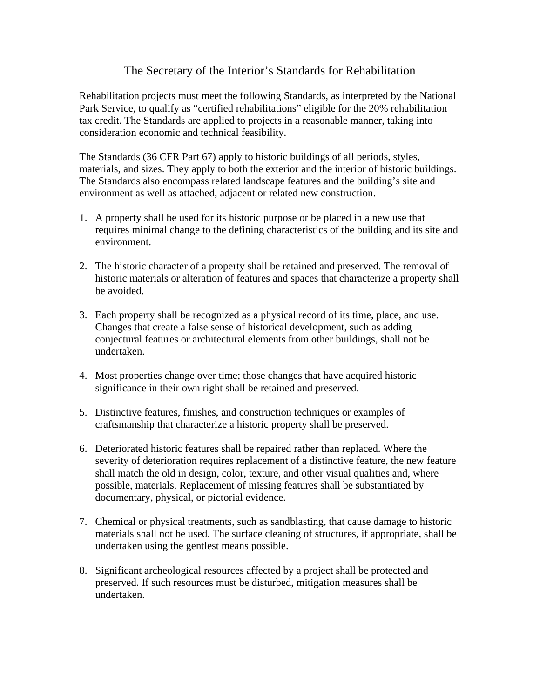## The Secretary of the Interior's Standards for Rehabilitation

Rehabilitation projects must meet the following Standards, as interpreted by the National Park Service, to qualify as "certified rehabilitations" eligible for the 20% rehabilitation tax credit. The Standards are applied to projects in a reasonable manner, taking into consideration economic and technical feasibility.

The Standards (36 CFR Part 67) apply to historic buildings of all periods, styles, materials, and sizes. They apply to both the exterior and the interior of historic buildings. The Standards also encompass related landscape features and the building's site and environment as well as attached, adjacent or related new construction.

- 1. A property shall be used for its historic purpose or be placed in a new use that requires minimal change to the defining characteristics of the building and its site and environment.
- 2. The historic character of a property shall be retained and preserved. The removal of historic materials or alteration of features and spaces that characterize a property shall be avoided.
- 3. Each property shall be recognized as a physical record of its time, place, and use. Changes that create a false sense of historical development, such as adding conjectural features or architectural elements from other buildings, shall not be undertaken.
- 4. Most properties change over time; those changes that have acquired historic significance in their own right shall be retained and preserved.
- 5. Distinctive features, finishes, and construction techniques or examples of craftsmanship that characterize a historic property shall be preserved.
- 6. Deteriorated historic features shall be repaired rather than replaced. Where the severity of deterioration requires replacement of a distinctive feature, the new feature shall match the old in design, color, texture, and other visual qualities and, where possible, materials. Replacement of missing features shall be substantiated by documentary, physical, or pictorial evidence.
- 7. Chemical or physical treatments, such as sandblasting, that cause damage to historic materials shall not be used. The surface cleaning of structures, if appropriate, shall be undertaken using the gentlest means possible.
- 8. Significant archeological resources affected by a project shall be protected and preserved. If such resources must be disturbed, mitigation measures shall be undertaken.